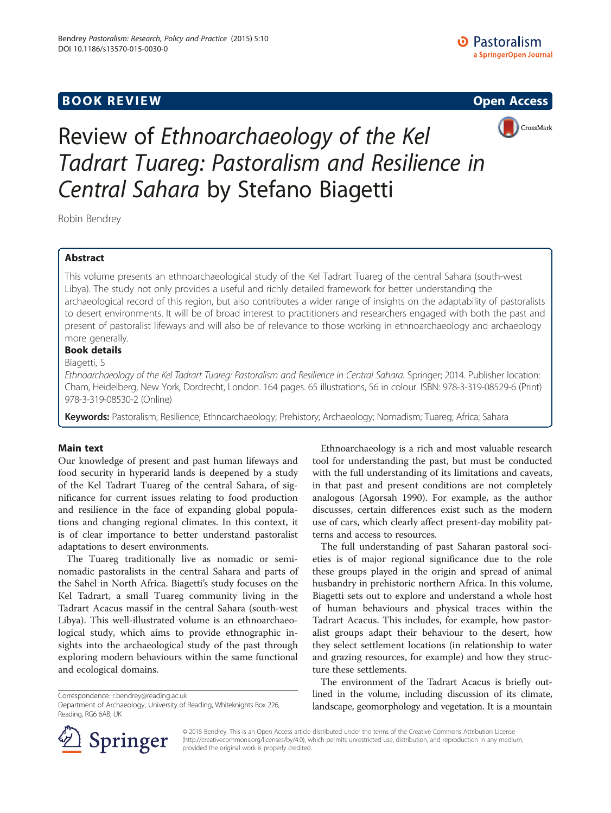# **BOOK REVIEW CONTROL** BOOK REVIEW







Review of Ethnoarchaeology of the Kel Tadrart Tuareg: Pastoralism and Resilience in Central Sahara by Stefano Biagetti

Robin Bendrey

## Abstract

This volume presents an ethnoarchaeological study of the Kel Tadrart Tuareg of the central Sahara (south-west Libya). The study not only provides a useful and richly detailed framework for better understanding the archaeological record of this region, but also contributes a wider range of insights on the adaptability of pastoralists to desert environments. It will be of broad interest to practitioners and researchers engaged with both the past and present of pastoralist lifeways and will also be of relevance to those working in ethnoarchaeology and archaeology more generally.

## Book details

### Biagetti, S

Ethnoarchaeology of the Kel Tadrart Tuareg: Pastoralism and Resilience in Central Sahara. Springer; 2014. Publisher location: Cham, Heidelberg, New York, Dordrecht, London. 164 pages. 65 illustrations, 56 in colour. ISBN: 978-3-319-08529-6 (Print) 978-3-319-08530-2 (Online)

Keywords: Pastoralism; Resilience; Ethnoarchaeology; Prehistory; Archaeology; Nomadism; Tuareg; Africa; Sahara

### Main text

Our knowledge of present and past human lifeways and food security in hyperarid lands is deepened by a study of the Kel Tadrart Tuareg of the central Sahara, of significance for current issues relating to food production and resilience in the face of expanding global populations and changing regional climates. In this context, it is of clear importance to better understand pastoralist adaptations to desert environments.

The Tuareg traditionally live as nomadic or seminomadic pastoralists in the central Sahara and parts of the Sahel in North Africa. Biagetti's study focuses on the Kel Tadrart, a small Tuareg community living in the Tadrart Acacus massif in the central Sahara (south-west Libya). This well-illustrated volume is an ethnoarchaeological study, which aims to provide ethnographic insights into the archaeological study of the past through exploring modern behaviours within the same functional and ecological domains.

Correspondence: [r.bendrey@reading.ac.uk](mailto:r.bendrey@reading.ac.uk)

Ethnoarchaeology is a rich and most valuable research tool for understanding the past, but must be conducted with the full understanding of its limitations and caveats, in that past and present conditions are not completely analogous (Agorsah [1990\)](#page-2-0). For example, as the author discusses, certain differences exist such as the modern use of cars, which clearly affect present-day mobility patterns and access to resources.

The full understanding of past Saharan pastoral societies is of major regional significance due to the role these groups played in the origin and spread of animal husbandry in prehistoric northern Africa. In this volume, Biagetti sets out to explore and understand a whole host of human behaviours and physical traces within the Tadrart Acacus. This includes, for example, how pastoralist groups adapt their behaviour to the desert, how they select settlement locations (in relationship to water and grazing resources, for example) and how they structure these settlements.

The environment of the Tadrart Acacus is briefly outlined in the volume, including discussion of its climate, landscape, geomorphology and vegetation. It is a mountain



© 2015 Bendrey. This is an Open Access article distributed under the terms of the Creative Commons Attribution License (<http://creativecommons.org/licenses/by/4.0>), which permits unrestricted use, distribution, and reproduction in any medium, provided the original work is properly credited.

Department of Archaeology, University of Reading, Whiteknights Box 226, Reading, RG6 6AB, UK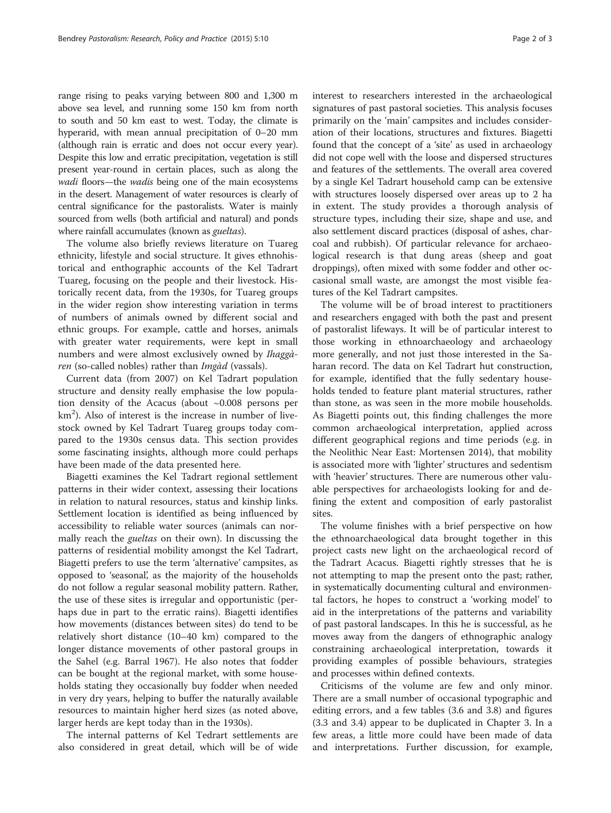range rising to peaks varying between 800 and 1,300 m above sea level, and running some 150 km from north to south and 50 km east to west. Today, the climate is hyperarid, with mean annual precipitation of 0–20 mm (although rain is erratic and does not occur every year). Despite this low and erratic precipitation, vegetation is still present year-round in certain places, such as along the wadi floors—the wadis being one of the main ecosystems in the desert. Management of water resources is clearly of central significance for the pastoralists. Water is mainly sourced from wells (both artificial and natural) and ponds where rainfall accumulates (known as *gueltas*).

The volume also briefly reviews literature on Tuareg ethnicity, lifestyle and social structure. It gives ethnohistorical and enthographic accounts of the Kel Tadrart Tuareg, focusing on the people and their livestock. Historically recent data, from the 1930s, for Tuareg groups in the wider region show interesting variation in terms of numbers of animals owned by different social and ethnic groups. For example, cattle and horses, animals with greater water requirements, were kept in small numbers and were almost exclusively owned by Ihaggàren (so-called nobles) rather than Imgàd (vassals).

Current data (from 2007) on Kel Tadrart population structure and density really emphasise the low population density of the Acacus (about ~0.008 persons per km<sup>2</sup>). Also of interest is the increase in number of livestock owned by Kel Tadrart Tuareg groups today compared to the 1930s census data. This section provides some fascinating insights, although more could perhaps have been made of the data presented here.

Biagetti examines the Kel Tadrart regional settlement patterns in their wider context, assessing their locations in relation to natural resources, status and kinship links. Settlement location is identified as being influenced by accessibility to reliable water sources (animals can normally reach the *gueltas* on their own). In discussing the patterns of residential mobility amongst the Kel Tadrart, Biagetti prefers to use the term 'alternative' campsites, as opposed to 'seasonal', as the majority of the households do not follow a regular seasonal mobility pattern. Rather, the use of these sites is irregular and opportunistic (perhaps due in part to the erratic rains). Biagetti identifies how movements (distances between sites) do tend to be relatively short distance (10–40 km) compared to the longer distance movements of other pastoral groups in the Sahel (e.g. Barral [1967](#page-2-0)). He also notes that fodder can be bought at the regional market, with some households stating they occasionally buy fodder when needed in very dry years, helping to buffer the naturally available resources to maintain higher herd sizes (as noted above, larger herds are kept today than in the 1930s).

The internal patterns of Kel Tedrart settlements are also considered in great detail, which will be of wide interest to researchers interested in the archaeological signatures of past pastoral societies. This analysis focuses primarily on the 'main' campsites and includes consideration of their locations, structures and fixtures. Biagetti found that the concept of a 'site' as used in archaeology did not cope well with the loose and dispersed structures and features of the settlements. The overall area covered by a single Kel Tadrart household camp can be extensive with structures loosely dispersed over areas up to 2 ha in extent. The study provides a thorough analysis of structure types, including their size, shape and use, and also settlement discard practices (disposal of ashes, charcoal and rubbish). Of particular relevance for archaeological research is that dung areas (sheep and goat droppings), often mixed with some fodder and other occasional small waste, are amongst the most visible features of the Kel Tadrart campsites.

The volume will be of broad interest to practitioners and researchers engaged with both the past and present of pastoralist lifeways. It will be of particular interest to those working in ethnoarchaeology and archaeology more generally, and not just those interested in the Saharan record. The data on Kel Tadrart hut construction, for example, identified that the fully sedentary households tended to feature plant material structures, rather than stone, as was seen in the more mobile households. As Biagetti points out, this finding challenges the more common archaeological interpretation, applied across different geographical regions and time periods (e.g. in the Neolithic Near East: Mortensen [2014](#page-2-0)), that mobility is associated more with 'lighter' structures and sedentism with 'heavier' structures. There are numerous other valuable perspectives for archaeologists looking for and defining the extent and composition of early pastoralist sites.

The volume finishes with a brief perspective on how the ethnoarchaeological data brought together in this project casts new light on the archaeological record of the Tadrart Acacus. Biagetti rightly stresses that he is not attempting to map the present onto the past; rather, in systematically documenting cultural and environmental factors, he hopes to construct a 'working model' to aid in the interpretations of the patterns and variability of past pastoral landscapes. In this he is successful, as he moves away from the dangers of ethnographic analogy constraining archaeological interpretation, towards it providing examples of possible behaviours, strategies and processes within defined contexts.

Criticisms of the volume are few and only minor. There are a small number of occasional typographic and editing errors, and a few tables (3.6 and 3.8) and figures (3.3 and 3.4) appear to be duplicated in Chapter 3. In a few areas, a little more could have been made of data and interpretations. Further discussion, for example,